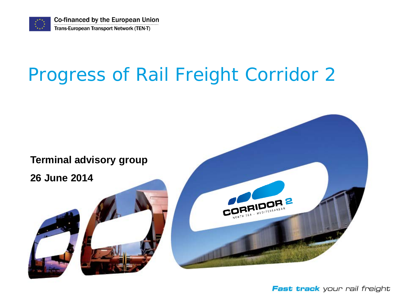

**Co-financed by the European Union** Trans-European Transport Network (TEN-T)

# Progress of Rail Freight Corridor 2



Fast track your rail freight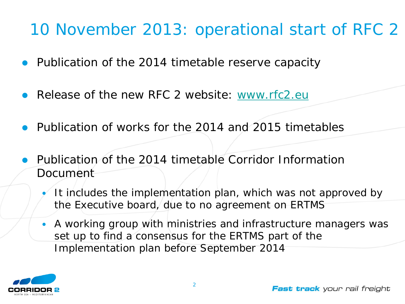#### 10 November 2013: operational start of RFC 2

- Publication of the 2014 timetable reserve capacity
- Release of the new RFC 2 website: [www.rfc2.eu](http://www.rfc2.eu/)
- Publication of works for the 2014 and 2015 timetables
- Publication of the 2014 timetable Corridor Information Document
	- It includes the implementation plan, which was not approved by the Executive board, due to no agreement on ERTMS
	- A working group with ministries and infrastructure managers was set up to find a consensus for the ERTMS part of the Implementation plan before September 2014

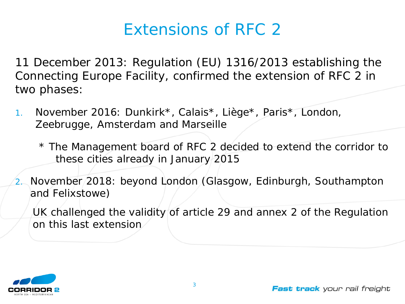#### Extensions of RFC 2

11 December 2013: Regulation (EU) 1316/2013 establishing the Connecting Europe Facility, confirmed the extension of RFC 2 in two phases:

1. November 2016: Dunkirk\*, Calais\*, Liège\*, Paris\*, London, Zeebrugge, Amsterdam and Marseille

\* The Management board of RFC 2 decided to extend the corridor to these cities already in January 2015

2. November 2018: beyond London (Glasgow, Edinburgh, Southampton and Felixstowe)

UK challenged the validity of article 29 and annex 2 of the Regulation on this last extension

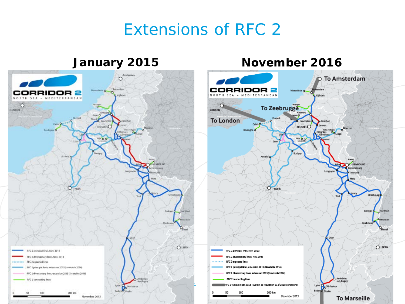#### Extensions of RFC 2

#### **January 2015**



#### **November 2016**

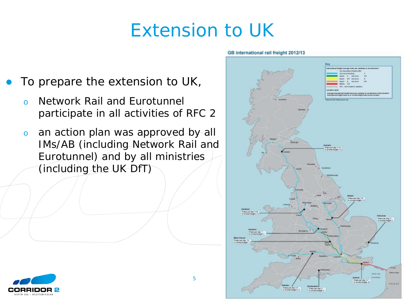### Extension to UK

- To prepare the extension to UK,
	- o Network Rail and Eurotunnel participate in all activities of RFC 2
	- o an action plan was approved by all IMs/AB (including Network Rail and Eurotunnel) and by all ministries (including the UK DfT)



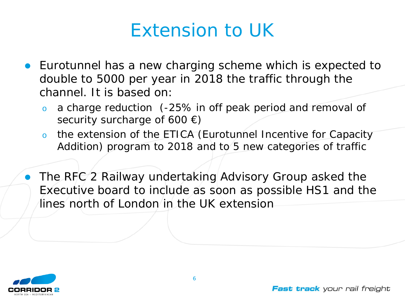### Extension to UK

- Eurotunnel has a new charging scheme which is expected to double to 5000 per year in 2018 the traffic through the channel. It is based on:
	- a charge reduction (-25% in off peak period and removal of security surcharge of 600  $\epsilon$ )
	- o the extension of the ETICA (Eurotunnel Incentive for Capacity Addition) program to 2018 and to 5 new categories of traffic
- The RFC 2 Railway undertaking Advisory Group asked the Executive board to include as soon as possible HS1 and the lines north of London in the UK extension

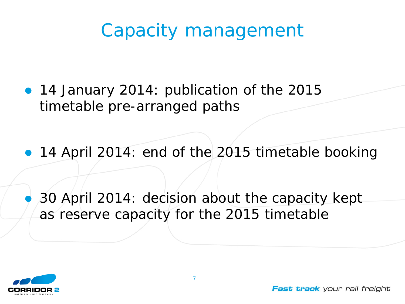# Capacity management

- 14 January 2014: publication of the 2015 timetable pre-arranged paths
- 14 April 2014: end of the 2015 timetable booking

 30 April 2014: decision about the capacity kept as reserve capacity for the 2015 timetable

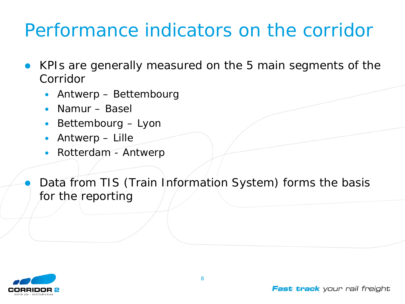# Performance indicators on the corridor

- KPIs are generally measured on the 5 main segments of the Corridor
	- Antwerp Bettembourg
	- Namur Basel
	- Bettembourg Lyon
	- Antwerp Lille
	- Rotterdam Antwerp

 Data from TIS (Train Information System) forms the basis for the reporting

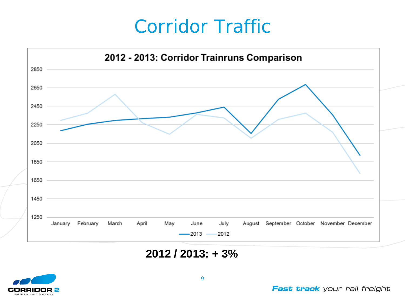### Corridor Traffic



**2012 / 2013: + 3%** 

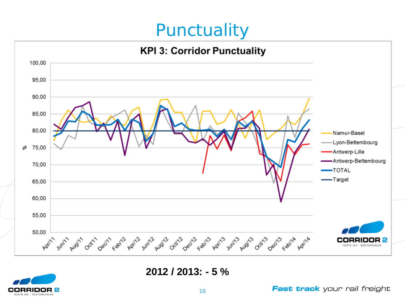#### **Punctuality**



**2012 / 2013: - 5 %** 

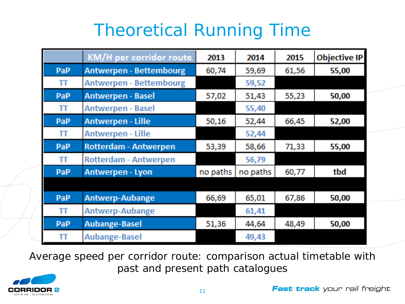#### Theoretical Running Time

|            | KM/H per corridor route        | 2013     | 2014     | 2015  | Objective IP |
|------------|--------------------------------|----------|----------|-------|--------------|
| PaP        | <b>Antwerpen - Bettembourg</b> | 60,74    | 59,69    | 61,56 | 55,00        |
| Ш          | <b>Antwerpen - Bettembourg</b> |          | 59,52    |       |              |
| PaP        | <b>Antwerpen - Basel</b>       | 57,02    | 51,43    | 55,23 | 50,00        |
| Ш          | <b>Antwerpen - Basel</b>       |          | 55,40    |       |              |
| PaP        | Antwerpen - Lille              | 50,16    | 52,44    | 66,45 | 52,00        |
| π          | <b>Antwerpen - Lille</b>       |          | 52,44    |       |              |
| <b>PaP</b> | <b>Rotterdam - Antwerpen</b>   | 53,39    | 58,66    | 71,33 | 55,00        |
| TΤ         | Rotterdam - Antwerpen          |          | 56,79    |       |              |
| PaP        | Antwerpen - Lyon               | no paths | no paths | 60,77 | tbd          |
|            |                                |          |          |       |              |
| PaP        | Antwerp-Aubange                | 66,69    | 65,01    | 67,86 | 50,00        |
| π          | Antwerp-Aubange                |          | 61,41    |       |              |
| PaP        | <b>Aubange-Basel</b>           | 51,36    | 44,64    | 48,49 | 50,00        |
| π          | Aubange-Basel                  |          | 49,43    |       |              |

Average speed per corridor route: comparison actual timetable with past and present path catalogues